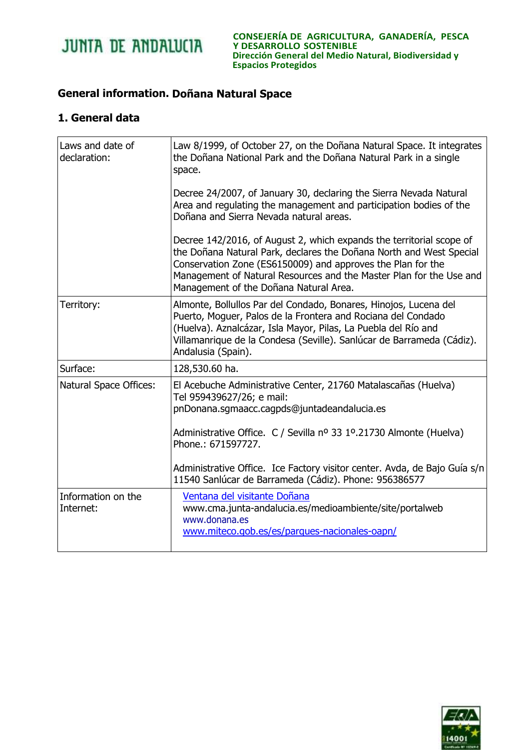

## **General information. Doñana Natural Space**

## **1. General data**

| Laws and date of<br>declaration: | Law 8/1999, of October 27, on the Doñana Natural Space. It integrates<br>the Doñana National Park and the Doñana Natural Park in a single<br>space.                                                                                                                                                                         |
|----------------------------------|-----------------------------------------------------------------------------------------------------------------------------------------------------------------------------------------------------------------------------------------------------------------------------------------------------------------------------|
|                                  | Decree 24/2007, of January 30, declaring the Sierra Nevada Natural<br>Area and regulating the management and participation bodies of the<br>Doñana and Sierra Nevada natural areas.                                                                                                                                         |
|                                  | Decree 142/2016, of August 2, which expands the territorial scope of<br>the Doñana Natural Park, declares the Doñana North and West Special<br>Conservation Zone (ES6150009) and approves the Plan for the<br>Management of Natural Resources and the Master Plan for the Use and<br>Management of the Doñana Natural Area. |
| Territory:                       | Almonte, Bollullos Par del Condado, Bonares, Hinojos, Lucena del<br>Puerto, Moguer, Palos de la Frontera and Rociana del Condado<br>(Huelva). Aznalcázar, Isla Mayor, Pilas, La Puebla del Río and<br>Villamanrique de la Condesa (Seville). Sanlúcar de Barrameda (Cádiz).<br>Andalusia (Spain).                           |
| Surface:                         | 128,530.60 ha.                                                                                                                                                                                                                                                                                                              |
| Natural Space Offices:           | El Acebuche Administrative Center, 21760 Matalascañas (Huelva)<br>Tel 959439627/26; e mail:<br>pnDonana.sgmaacc.cagpds@juntadeandalucia.es<br>Administrative Office. C / Sevilla nº 33 1º.21730 Almonte (Huelva)                                                                                                            |
|                                  | Phone.: 671597727.                                                                                                                                                                                                                                                                                                          |
|                                  | Administrative Office. Ice Factory visitor center. Avda, de Bajo Guía s/n<br>11540 Sanlúcar de Barrameda (Cádiz). Phone: 956386577                                                                                                                                                                                          |
| Information on the<br>Internet:  | Ventana del visitante Doñana<br>www.cma.junta-andalucia.es/medioambiente/site/portalweb<br>www.donana.es<br>www.miteco.gob.es/es/parques-nacionales-oapn/                                                                                                                                                                   |

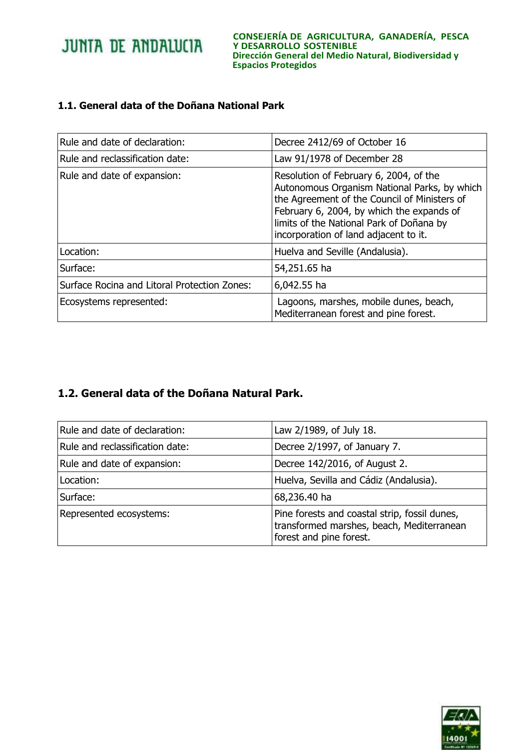**CONSEJERÍA DE AGRICULTURA, GANADERÍA, PESCA Y DESARROLLO SOSTENIBLE Dirección General del Medio Natural, Biodiversidad y Espacios Protegidos**

## **1.1. General data of the Doñana National Park**

| Rule and date of declaration:                | Decree 2412/69 of October 16                                                                                                                                                                                                                                             |
|----------------------------------------------|--------------------------------------------------------------------------------------------------------------------------------------------------------------------------------------------------------------------------------------------------------------------------|
| Rule and reclassification date:              | Law 91/1978 of December 28                                                                                                                                                                                                                                               |
| Rule and date of expansion:                  | Resolution of February 6, 2004, of the<br>Autonomous Organism National Parks, by which<br>the Agreement of the Council of Ministers of<br>February 6, 2004, by which the expands of<br>limits of the National Park of Doñana by<br>incorporation of land adjacent to it. |
| Location:                                    | Huelva and Seville (Andalusia).                                                                                                                                                                                                                                          |
| Surface:                                     | 54,251.65 ha                                                                                                                                                                                                                                                             |
| Surface Rocina and Litoral Protection Zones: | 6,042.55 ha                                                                                                                                                                                                                                                              |
| Ecosystems represented:                      | Lagoons, marshes, mobile dunes, beach,<br>Mediterranean forest and pine forest.                                                                                                                                                                                          |

## **1.2. General data of the Doñana Natural Park.**

| Rule and date of declaration:   | Law 2/1989, of July 18.                                                                                               |
|---------------------------------|-----------------------------------------------------------------------------------------------------------------------|
| Rule and reclassification date: | Decree 2/1997, of January 7.                                                                                          |
| Rule and date of expansion:     | Decree 142/2016, of August 2.                                                                                         |
| Location:                       | Huelva, Sevilla and Cádiz (Andalusia).                                                                                |
| Surface:                        | 68,236.40 ha                                                                                                          |
| Represented ecosystems:         | Pine forests and coastal strip, fossil dunes,<br>transformed marshes, beach, Mediterranean<br>forest and pine forest. |

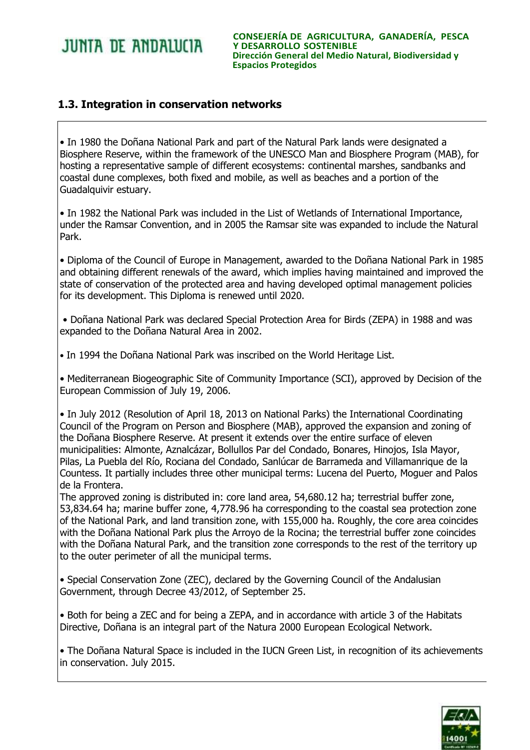**CONSEJERÍA DE AGRICULTURA, GANADERÍA, PESCA Y DESARROLLO SOSTENIBLE Dirección General del Medio Natural, Biodiversidad y Espacios Protegidos**

## **1.3. Integration in conservation networks**

• In 1980 the Doñana National Park and part of the Natural Park lands were designated a Biosphere Reserve, within the framework of the UNESCO Man and Biosphere Program (MAB), for hosting a representative sample of different ecosystems: continental marshes, sandbanks and coastal dune complexes, both fixed and mobile, as well as beaches and a portion of the Guadalquivir estuary.

• In 1982 the National Park was included in the List of Wetlands of International Importance, under the Ramsar Convention, and in 2005 the Ramsar site was expanded to include the Natural Park.

• Diploma of the Council of Europe in Management, awarded to the Doñana National Park in 1985 and obtaining different renewals of the award, which implies having maintained and improved the state of conservation of the protected area and having developed optimal management policies for its development. This Diploma is renewed until 2020.

• Doñana National Park was declared Special Protection Area for Birds (ZEPA) in 1988 and was expanded to the Doñana Natural Area in 2002.

• In 1994 the Doñana National Park was inscribed on the World Heritage List.

• Mediterranean Biogeographic Site of Community Importance (SCI), approved by Decision of the European Commission of July 19, 2006.

• In July 2012 (Resolution of April 18, 2013 on National Parks) the International Coordinating Council of the Program on Person and Biosphere (MAB), approved the expansion and zoning of the Doñana Biosphere Reserve. At present it extends over the entire surface of eleven municipalities: Almonte, Aznalcázar, Bollullos Par del Condado, Bonares, Hinojos, Isla Mayor, Pilas, La Puebla del Río, Rociana del Condado, Sanlúcar de Barrameda and Villamanrique de la Countess. It partially includes three other municipal terms: Lucena del Puerto, Moguer and Palos de la Frontera.

The approved zoning is distributed in: core land area, 54,680.12 ha; terrestrial buffer zone, 53,834.64 ha; marine buffer zone, 4,778.96 ha corresponding to the coastal sea protection zone of the National Park, and land transition zone, with 155,000 ha. Roughly, the core area coincides with the Doñana National Park plus the Arroyo de la Rocina; the terrestrial buffer zone coincides with the Doñana Natural Park, and the transition zone corresponds to the rest of the territory up to the outer perimeter of all the municipal terms.

• Special Conservation Zone (ZEC), declared by the Governing Council of the Andalusian Government, through Decree 43/2012, of September 25.

• Both for being a ZEC and for being a ZEPA, and in accordance with article 3 of the Habitats Directive, Doñana is an integral part of the Natura 2000 European Ecological Network.

• The Doñana Natural Space is included in the IUCN Green List, in recognition of its achievements in conservation. July 2015.

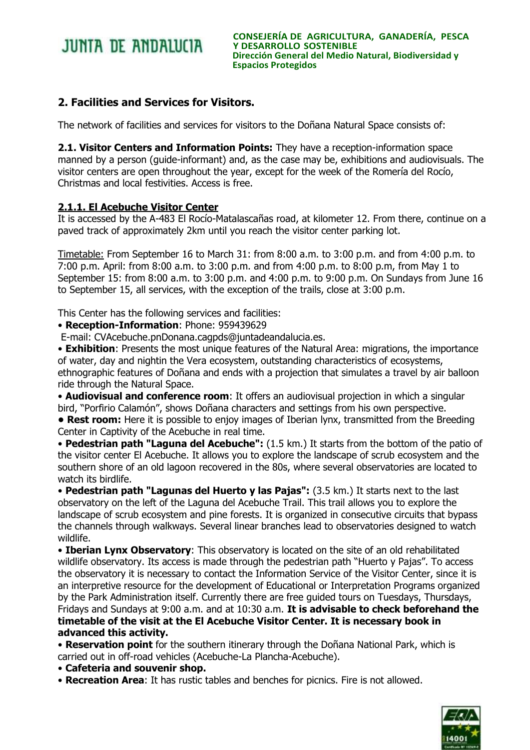## **2. Facilities and Services for Visitors.**

The network of facilities and services for visitors to the Doñana Natural Space consists of:

**2.1. Visitor Centers and Information Points:** They have a reception-information space manned by a person (guide-informant) and, as the case may be, exhibitions and audiovisuals. The visitor centers are open throughout the year, except for the week of the Romería del Rocío, Christmas and local festivities. Access is free.

## **2.1.1. El Acebuche Visitor Center**

It is accessed by the A-483 El Rocío-Matalascañas road, at kilometer 12. From there, continue on a paved track of approximately 2km until you reach the visitor center parking lot.

Timetable: From September 16 to March 31: from 8:00 a.m. to 3:00 p.m. and from 4:00 p.m. to 7:00 p.m. April: from 8:00 a.m. to 3:00 p.m. and from 4:00 p.m. to 8:00 p.m, from May 1 to September 15: from 8:00 a.m. to 3:00 p.m. and 4:00 p.m. to 9:00 p.m. On Sundays from June 16 to September 15, all services, with the exception of the trails, close at 3:00 p.m.

This Center has the following services and facilities:

• **Reception-Information**: Phone: 959439629

E-mail: CVAcebuche.pnDonana.cagpds@juntadeandalucia.es.

• **Exhibition**: Presents the most unique features of the Natural Area: migrations, the importance of water, day and nightin the Vera ecosystem, outstanding characteristics of ecosystems, ethnographic features of Doñana and ends with a projection that simulates a travel by air balloon ride through the Natural Space.

• **Audiovisual and conference room**: It offers an audiovisual projection in which a singular bird, "Porfirio Calamón", shows Doñana characters and settings from his own perspective.

**• Rest room:** Here it is possible to enjoy images of Iberian lynx, transmitted from the Breeding Center in Captivity of the Acebuche in real time.

• **Pedestrian path "Laguna del Acebuche":** (1.5 km.) It starts from the bottom of the patio of the visitor center El Acebuche. It allows you to explore the landscape of scrub ecosystem and the southern shore of an old lagoon recovered in the 80s, where several observatories are located to watch its birdlife.

• **Pedestrian path "Lagunas del Huerto y las Pajas":** (3.5 km.) It starts next to the last observatory on the left of the Laguna del Acebuche Trail. This trail allows you to explore the landscape of scrub ecosystem and pine forests. It is organized in consecutive circuits that bypass the channels through walkways. Several linear branches lead to observatories designed to watch wildlife.

• **Iberian Lynx Observatory**: This observatory is located on the site of an old rehabilitated wildlife observatory. Its access is made through the pedestrian path "Huerto y Pajas". To access the observatory it is necessary to contact the Information Service of the Visitor Center, since it is an interpretive resource for the development of Educational or Interpretation Programs organized by the Park Administration itself. Currently there are free guided tours on Tuesdays, Thursdays, Fridays and Sundays at 9:00 a.m. and at 10:30 a.m. **It is advisable to check beforehand the** 

**timetable of the visit at the El Acebuche Visitor Center. It is necessary book in advanced this activity.**

• **Reservation point** for the southern itinerary through the Doñana National Park, which is carried out in off-road vehicles (Acebuche-La Plancha-Acebuche).

• **Cafeteria and souvenir shop.**

• **Recreation Area**: It has rustic tables and benches for picnics. Fire is not allowed.

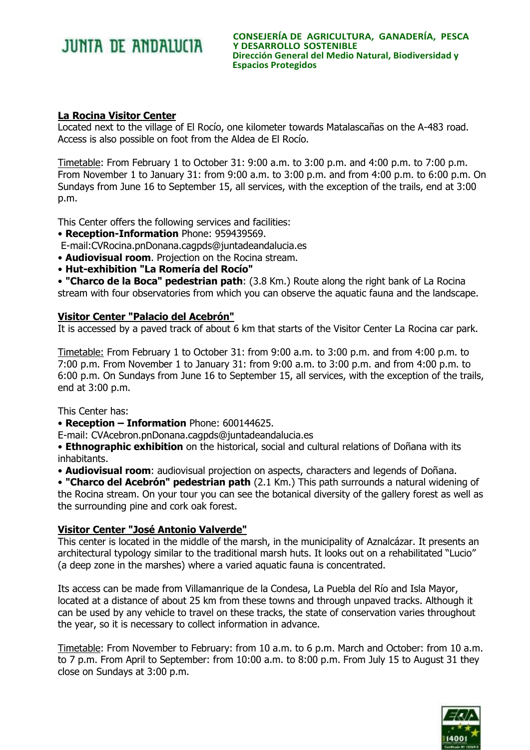## **La Rocina Visitor Center**

Located next to the village of El Rocío, one kilometer towards Matalascañas on the A-483 road. Access is also possible on foot from the Aldea de El Rocío.

Timetable: From February 1 to October 31: 9:00 a.m. to 3:00 p.m. and 4:00 p.m. to 7:00 p.m. From November 1 to January 31: from 9:00 a.m. to 3:00 p.m. and from 4:00 p.m. to 6:00 p.m. On Sundays from June 16 to September 15, all services, with the exception of the trails, end at 3:00 p.m.

This Center offers the following services and facilities:

- **Reception-Information** Phone: 959439569.
- E-mail:CVRocina.pnDonana.cagpds@juntadeandalucia.es
- **Audiovisual room**. Projection on the Rocina stream.
- **Hut-exhibition "La Romería del Rocío"**

• **"Charco de la Boca" pedestrian path**: (3.8 Km.) Route along the right bank of La Rocina stream with four observatories from which you can observe the aquatic fauna and the landscape.

### **Visitor Center "Palacio del Acebrón"**

It is accessed by a paved track of about 6 km that starts of the Visitor Center La Rocina car park.

Timetable: From February 1 to October 31: from 9:00 a.m. to 3:00 p.m. and from 4:00 p.m. to 7:00 p.m. From November 1 to January 31: from 9:00 a.m. to 3:00 p.m. and from 4:00 p.m. to 6:00 p.m. On Sundays from June 16 to September 15, all services, with the exception of the trails, end at 3:00 p.m.

This Center has:

• **Reception – Information** Phone: 600144625.

E-mail: CVAcebron.pnDonana.cagpds@juntadeandalucia.es

• **Ethnographic exhibition** on the historical, social and cultural relations of Doñana with its inhabitants.

• **Audiovisual room**: audiovisual projection on aspects, characters and legends of Doñana.

• **"Charco del Acebrón" pedestrian path** (2.1 Km.) This path surrounds a natural widening of the Rocina stream. On your tour you can see the botanical diversity of the gallery forest as well as the surrounding pine and cork oak forest.

## **Visitor Center "José Antonio Valverde"**

This center is located in the middle of the marsh, in the municipality of Aznalcázar. It presents an architectural typology similar to the traditional marsh huts. It looks out on a rehabilitated "Lucio" (a deep zone in the marshes) where a varied aquatic fauna is concentrated.

Its access can be made from Villamanrique de la Condesa, La Puebla del Río and Isla Mayor, located at a distance of about 25 km from these towns and through unpaved tracks. Although it can be used by any vehicle to travel on these tracks, the state of conservation varies throughout the year, so it is necessary to collect information in advance.

Timetable: From November to February: from 10 a.m. to 6 p.m. March and October: from 10 a.m. to 7 p.m. From April to September: from 10:00 a.m. to 8:00 p.m. From July 15 to August 31 they close on Sundays at 3:00 p.m.

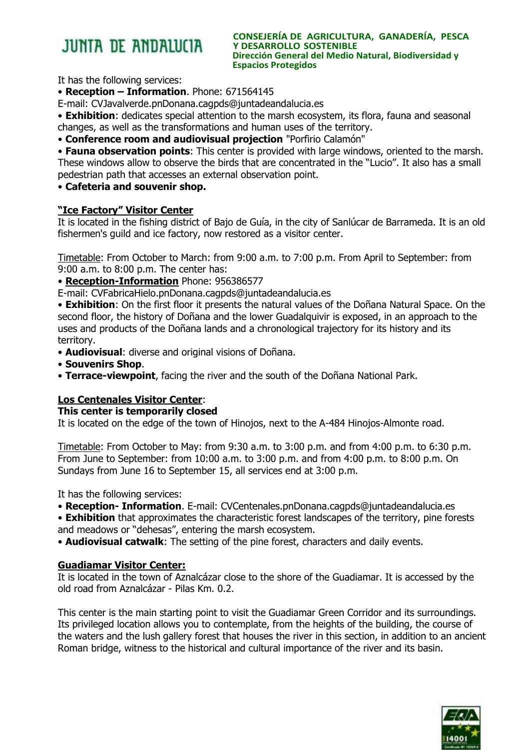#### **CONSEJERÍA DE AGRICULTURA, GANADERÍA, PESCA Y DESARROLLO SOSTENIBLE Dirección General del Medio Natural, Biodiversidad y Espacios Protegidos**

It has the following services:

• **Reception – Information**. Phone: 671564145

E-mail: CVJavalverde.pnDonana.cagpds@juntadeandalucia.es

• **Exhibition**: dedicates special attention to the marsh ecosystem, its flora, fauna and seasonal changes, as well as the transformations and human uses of the territory.

• **Conference room and audiovisual projection** "Porfirio Calamón"

• **Fauna observation points**: This center is provided with large windows, oriented to the marsh. These windows allow to observe the birds that are concentrated in the "Lucio". It also has a small pedestrian path that accesses an external observation point.

• **Cafeteria and souvenir shop.**

## **"Ice Factory" Visitor Center**

It is located in the fishing district of Bajo de Guía, in the city of Sanlúcar de Barrameda. It is an old fishermen's guild and ice factory, now restored as a visitor center.

Timetable: From October to March: from 9:00 a.m. to 7:00 p.m. From April to September: from 9:00 a.m. to 8:00 p.m. The center has:

• **Reception-Information** Phone: 956386577

E-mail: CVFabricaHielo.pnDonana.cagpds@juntadeandalucia.es

• **Exhibition**: On the first floor it presents the natural values of the Doñana Natural Space. On the second floor, the history of Doñana and the lower Guadalquivir is exposed, in an approach to the uses and products of the Doñana lands and a chronological trajectory for its history and its territory.

• **Audiovisual**: diverse and original visions of Doñana.

- **Souvenirs Shop**.
- **Terrace-viewpoint**, facing the river and the south of the Doñana National Park.

## **Los Centenales Visitor Center**:

### **This center is temporarily closed**

It is located on the edge of the town of Hinojos, next to the A-484 Hinojos-Almonte road.

Timetable: From October to May: from 9:30 a.m. to 3:00 p.m. and from 4:00 p.m. to 6:30 p.m. From June to September: from 10:00 a.m. to 3:00 p.m. and from 4:00 p.m. to 8:00 p.m. On Sundays from June 16 to September 15, all services end at 3:00 p.m.

It has the following services:

• **Reception- Information**. E-mail: CVCentenales.pnDonana.cagpds@juntadeandalucia.es

• **Exhibition** that approximates the characteristic forest landscapes of the territory, pine forests and meadows or "dehesas", entering the marsh ecosystem.

• **Audiovisual catwalk**: The setting of the pine forest, characters and daily events.

## **Guadiamar Visitor Center:**

It is located in the town of Aznalcázar close to the shore of the Guadiamar. It is accessed by the old road from Aznalcázar - Pilas Km. 0.2.

This center is the main starting point to visit the Guadiamar Green Corridor and its surroundings. Its privileged location allows you to contemplate, from the heights of the building, the course of the waters and the lush gallery forest that houses the river in this section, in addition to an ancient Roman bridge, witness to the historical and cultural importance of the river and its basin.

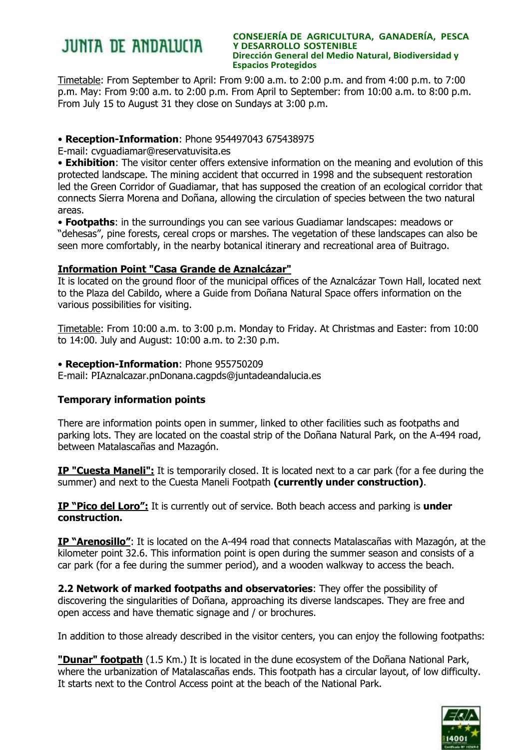#### **CONSEJERÍA DE AGRICULTURA, GANADERÍA, PESCA Y DESARROLLO SOSTENIBLE Dirección General del Medio Natural, Biodiversidad y Espacios Protegidos**

Timetable: From September to April: From 9:00 a.m. to 2:00 p.m. and from 4:00 p.m. to 7:00 p.m. May: From 9:00 a.m. to 2:00 p.m. From April to September: from 10:00 a.m. to 8:00 p.m. From July 15 to August 31 they close on Sundays at 3:00 p.m.

## • **Reception-Information**: Phone 954497043 675438975

E-mail: cvguadiamar@reservatuvisita.es

• **Exhibition**: The visitor center offers extensive information on the meaning and evolution of this protected landscape. The mining accident that occurred in 1998 and the subsequent restoration led the Green Corridor of Guadiamar, that has supposed the creation of an ecological corridor that connects Sierra Morena and Doñana, allowing the circulation of species between the two natural areas.

• **Footpaths**: in the surroundings you can see various Guadiamar landscapes: meadows or "dehesas", pine forests, cereal crops or marshes. The vegetation of these landscapes can also be seen more comfortably, in the nearby botanical itinerary and recreational area of Buitrago.

## **Information Point "Casa Grande de Aznalcázar"**

It is located on the ground floor of the municipal offices of the Aznalcázar Town Hall, located next to the Plaza del Cabildo, where a Guide from Doñana Natural Space offers information on the various possibilities for visiting.

Timetable: From 10:00 a.m. to 3:00 p.m. Monday to Friday. At Christmas and Easter: from 10:00 to 14:00. July and August: 10:00 a.m. to 2:30 p.m.

## • **Reception-Information**: Phone 955750209

E-mail: PIAznalcazar.pnDonana.cagpds@juntadeandalucia.es

## **Temporary information points**

There are information points open in summer, linked to other facilities such as footpaths and parking lots. They are located on the coastal strip of the Doñana Natural Park, on the A-494 road, between Matalascañas and Mazagón.

**IP "Cuesta Maneli":** It is temporarily closed. It is located next to a car park (for a fee during the summer) and next to the Cuesta Maneli Footpath **(currently under construction)**.

**IP "Pico del Loro":** It is currently out of service. Both beach access and parking is **under construction.**

**IP "Arenosillo"**: It is located on the A-494 road that connects Matalascañas with Mazagón, at the kilometer point 32.6. This information point is open during the summer season and consists of a car park (for a fee during the summer period), and a wooden walkway to access the beach.

**2.2 Network of marked footpaths and observatories**: They offer the possibility of discovering the singularities of Doñana, approaching its diverse landscapes. They are free and open access and have thematic signage and / or brochures.

In addition to those already described in the visitor centers, you can enjoy the following footpaths:

**"Dunar" footpath** (1.5 Km.) It is located in the dune ecosystem of the Doñana National Park, where the urbanization of Matalascañas ends. This footpath has a circular layout, of low difficulty. It starts next to the Control Access point at the beach of the National Park.

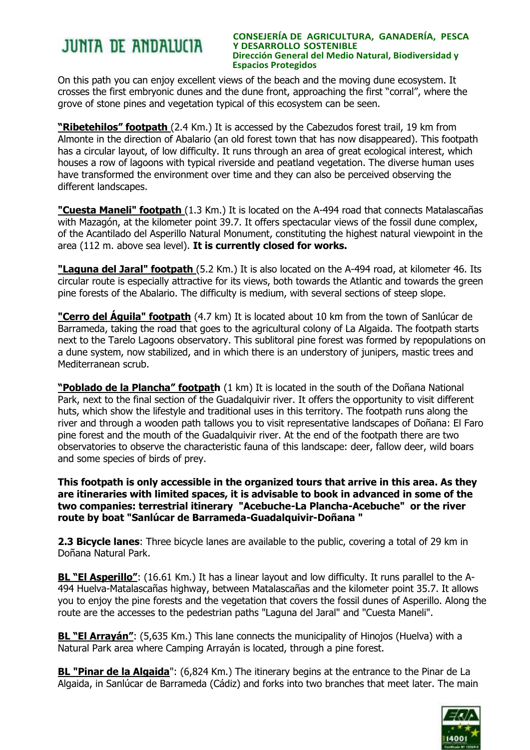#### **CONSEJERÍA DE AGRICULTURA, GANADERÍA, PESCA Y DESARROLLO SOSTENIBLE Dirección General del Medio Natural, Biodiversidad y Espacios Protegidos**

On this path you can enjoy excellent views of the beach and the moving dune ecosystem. It crosses the first embryonic dunes and the dune front, approaching the first "corral", where the grove of stone pines and vegetation typical of this ecosystem can be seen.

**"Ribetehilos" footpath** (2.4 Km.) It is accessed by the Cabezudos forest trail, 19 km from Almonte in the direction of Abalario (an old forest town that has now disappeared). This footpath has a circular layout, of low difficulty. It runs through an area of great ecological interest, which houses a row of lagoons with typical riverside and peatland vegetation. The diverse human uses have transformed the environment over time and they can also be perceived observing the different landscapes.

**"Cuesta Maneli" footpath** (1.3 Km.) It is located on the A-494 road that connects Matalascañas with Mazagón, at the kilometer point 39.7. It offers spectacular views of the fossil dune complex, of the Acantilado del Asperillo Natural Monument, constituting the highest natural viewpoint in the area (112 m. above sea level). **It is currently closed for works.**

**"Laguna del Jaral" footpath** (5.2 Km.) It is also located on the A-494 road, at kilometer 46. Its circular route is especially attractive for its views, both towards the Atlantic and towards the green pine forests of the Abalario. The difficulty is medium, with several sections of steep slope.

**"Cerro del Águila" footpath** (4.7 km) It is located about 10 km from the town of Sanlúcar de Barrameda, taking the road that goes to the agricultural colony of La Algaida. The footpath starts next to the Tarelo Lagoons observatory. This sublitoral pine forest was formed by repopulations on a dune system, now stabilized, and in which there is an understory of junipers, mastic trees and Mediterranean scrub.

**"Poblado de la Plancha" footpath** (1 km) It is located in the south of the Doñana National Park, next to the final section of the Guadalquivir river. It offers the opportunity to visit different huts, which show the lifestyle and traditional uses in this territory. The footpath runs along the river and through a wooden path tallows you to visit representative landscapes of Doñana: El Faro pine forest and the mouth of the Guadalquivir river. At the end of the footpath there are two observatories to observe the characteristic fauna of this landscape: deer, fallow deer, wild boars and some species of birds of prey.

**This footpath is only accessible in the organized tours that arrive in this area. As they are itineraries with limited spaces, it is advisable to book in advanced in some of the two companies: terrestrial itinerary "Acebuche-La Plancha-Acebuche" or the river route by boat "Sanlúcar de Barrameda-Guadalquivir-Doñana "**

**2.3 Bicycle lanes**: Three bicycle lanes are available to the public, covering a total of 29 km in Doñana Natural Park.

**BL "El Asperillo"**: (16.61 Km.) It has a linear layout and low difficulty. It runs parallel to the A-494 Huelva-Matalascañas highway, between Matalascañas and the kilometer point 35.7. It allows you to enjoy the pine forests and the vegetation that covers the fossil dunes of Asperillo. Along the route are the accesses to the pedestrian paths "Laguna del Jaral" and "Cuesta Maneli".

**BL "El Arrayán"**: (5,635 Km.) This lane connects the municipality of Hinojos (Huelva) with a Natural Park area where Camping Arrayán is located, through a pine forest.

**BL "Pinar de la Algaida**": (6,824 Km.) The itinerary begins at the entrance to the Pinar de La Algaida, in Sanlúcar de Barrameda (Cádiz) and forks into two branches that meet later. The main

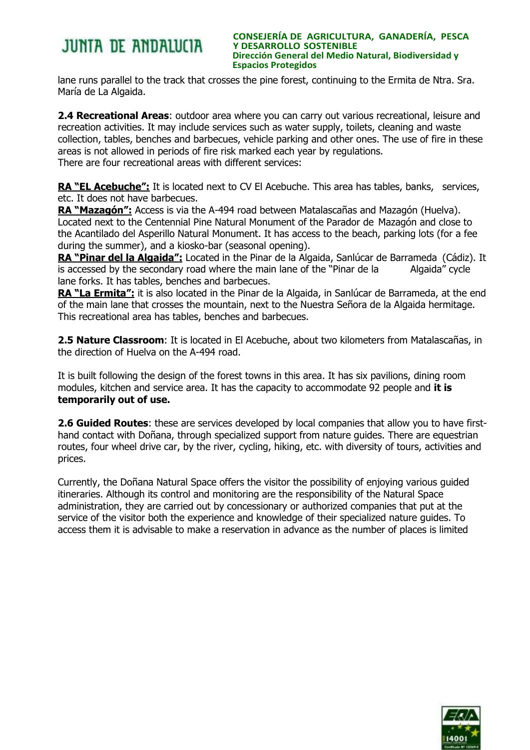#### **CONSEJERÍA DE AGRICULTURA, GANADERÍA, PESCA Y DESARROLLO SOSTENIBLE Dirección General del Medio Natural, Biodiversidad y Espacios Protegidos**

lane runs parallel to the track that crosses the pine forest, continuing to the Ermita de Ntra. Sra. María de La Algaida.

**2.4 Recreational Areas**: outdoor area where you can carry out various recreational, leisure and recreation activities. It may include services such as water supply, toilets, cleaning and waste collection, tables, benches and barbecues, vehicle parking and other ones. The use of fire in these areas is not allowed in periods of fire risk marked each year by regulations. There are four recreational areas with different services:

RA "EL Acebuche": It is located next to CV El Acebuche. This area has tables, banks, services, etc. It does not have barbecues.

**RA "Mazagón":** Access is via the A-494 road between Matalascañas and Mazagón (Huelva). Located next to the Centennial Pine Natural Monument of the Parador de Mazagón and close to the Acantilado del Asperillo Natural Monument. It has access to the beach, parking lots (for a fee during the summer), and a kiosko-bar (seasonal opening).

**RA "Pinar del la Algaida":** Located in the Pinar de la Algaida, Sanlúcar de Barrameda (Cádiz). It is accessed by the secondary road where the main lane of the "Pinar de la Algaida" cycle lane forks. It has tables, benches and barbecues.

**RA "La Ermita":** it is also located in the Pinar de la Algaida, in Sanlúcar de Barrameda, at the end of the main lane that crosses the mountain, next to the Nuestra Señora de la Algaida hermitage. This recreational area has tables, benches and barbecues.

**2.5 Nature Classroom**: It is located in El Acebuche, about two kilometers from Matalascañas, in the direction of Huelva on the A-494 road.

It is built following the design of the forest towns in this area. It has six pavilions, dining room modules, kitchen and service area. It has the capacity to accommodate 92 people and **it is temporarily out of use.**

**2.6 Guided Routes**: these are services developed by local companies that allow you to have firsthand contact with Doñana, through specialized support from nature guides. There are equestrian routes, four wheel drive car, by the river, cycling, hiking, etc. with diversity of tours, activities and prices.

Currently, the Doñana Natural Space offers the visitor the possibility of enjoying various guided itineraries. Although its control and monitoring are the responsibility of the Natural Space administration, they are carried out by concessionary or authorized companies that put at the service of the visitor both the experience and knowledge of their specialized nature guides. To access them it is advisable to make a reservation in advance as the number of places is limited

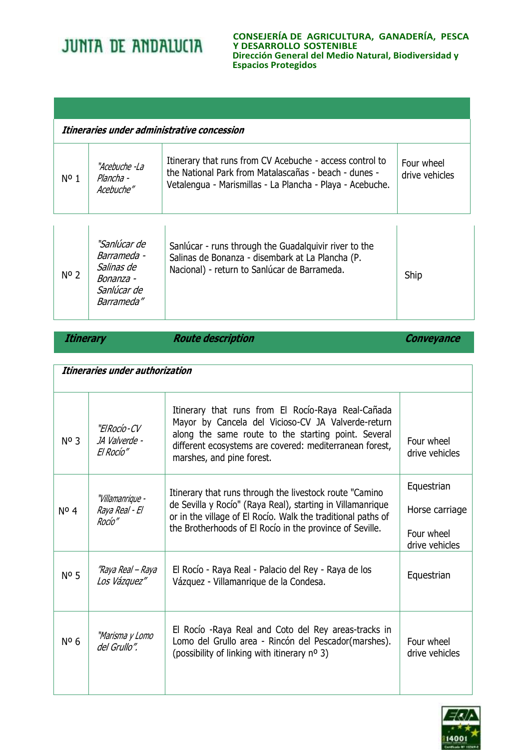**CONSEJERÍA DE AGRICULTURA, GANADERÍA, PESCA Y DESARROLLO SOSTENIBLE Dirección General del Medio Natural, Biodiversidad y Espacios Protegidos**

| Itineraries under administrative concession |                                          |                                                                                                                                                                                |                              |
|---------------------------------------------|------------------------------------------|--------------------------------------------------------------------------------------------------------------------------------------------------------------------------------|------------------------------|
| $N^{\circ}$ 1                               | "Acebuche -l a<br>Plancha -<br>Acebuche" | Itinerary that runs from CV Acebuche - access control to<br>the National Park from Matalascañas - beach - dunes -<br>Vetalengua - Marismillas - La Plancha - Playa - Acebuche. | Four wheel<br>drive vehicles |

| $N^{\circ}$ 2 | "Sanlúcar de<br>Barrameda -<br>Salinas de<br>Bonanza -<br>Sanlúcar de<br>Barrameda" | Sanlúcar - runs through the Guadalquivir river to the<br>Salinas de Bonanza - disembark at La Plancha (P.<br>Nacional) - return to Sanlúcar de Barrameda. | Ship |
|---------------|-------------------------------------------------------------------------------------|-----------------------------------------------------------------------------------------------------------------------------------------------------------|------|
|---------------|-------------------------------------------------------------------------------------|-----------------------------------------------------------------------------------------------------------------------------------------------------------|------|

*Route description* **Route description Conveyance** 

| Itineraries under authorization |                                              |                                                                                                                                                                                                                                                         |                                                              |
|---------------------------------|----------------------------------------------|---------------------------------------------------------------------------------------------------------------------------------------------------------------------------------------------------------------------------------------------------------|--------------------------------------------------------------|
| No 3                            | "ElRocío-CV<br>JA Valverde -<br>El Rocío"    | Itinerary that runs from El Rocío-Raya Real-Cañada<br>Mayor by Cancela del Vicioso-CV JA Valverde-return<br>along the same route to the starting point. Several<br>different ecosystems are covered: mediterranean forest,<br>marshes, and pine forest. | Four wheel<br>drive vehicles                                 |
| $N^{\circ}$ 4                   | "Villamanrique -<br>Raya Real - El<br>Rocío" | Itinerary that runs through the livestock route "Camino"<br>de Sevilla y Rocío" (Raya Real), starting in Villamanrique<br>or in the village of El Rocío. Walk the traditional paths of<br>the Brotherhoods of El Rocío in the province of Seville.      | Equestrian<br>Horse carriage<br>Four wheel<br>drive vehicles |
| $No$ 5                          | "Raya Real – Raya<br>Los Vázquez"            | El Rocío - Raya Real - Palacio del Rey - Raya de los<br>Vázquez - Villamanrique de la Condesa.                                                                                                                                                          | Equestrian                                                   |
| Nº <sub>6</sub>                 | "Marisma y Lomo<br>del Grullo".              | El Rocío - Raya Real and Coto del Rey areas-tracks in<br>Lomo del Grullo area - Rincón del Pescador(marshes).<br>(possibility of linking with itinerary no 3)                                                                                           | Four wheel<br>drive vehicles                                 |

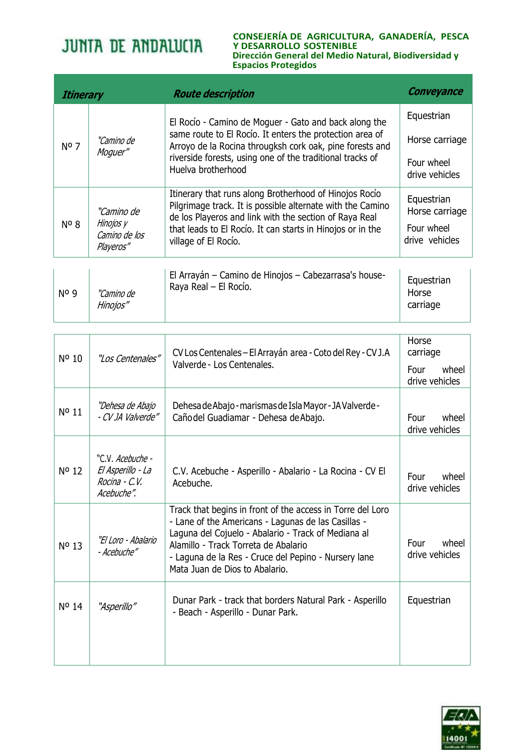#### **CONSEJERÍA DE AGRICULTURA, GANADERÍA, PESCA Y DESARROLLO SOSTENIBLE Dirección General del Medio Natural, Biodiversidad y Espacios Protegidos**

| <b>Itinerary</b> |                                                       | <b>Route description</b>                                                                                                                                                                                                                                             | Conveyance                   |
|------------------|-------------------------------------------------------|----------------------------------------------------------------------------------------------------------------------------------------------------------------------------------------------------------------------------------------------------------------------|------------------------------|
|                  | "Camino de<br>Moguer"                                 | El Rocío - Camino de Moguer - Gato and back along the<br>same route to El Rocío. It enters the protection area of<br>Arroyo de la Rocina througksh cork oak, pine forests and<br>riverside forests, using one of the traditional tracks of<br>Huelva brotherhood     | Equestrian                   |
| Nº <sub>7</sub>  |                                                       |                                                                                                                                                                                                                                                                      | Horse carriage               |
|                  |                                                       |                                                                                                                                                                                                                                                                      | Four wheel<br>drive vehicles |
| $N^{\circ}$ 8    | "Camino de<br>Hinojos y<br>Camino de los<br>Playeros" | Itinerary that runs along Brotherhood of Hinojos Rocio<br>Pilgrimage track. It is possible alternate with the Camino<br>de los Playeros and link with the section of Raya Real<br>that leads to El Rocío. It can starts in Hinojos or in the<br>village of El Rocío. | Equestrian<br>Horse carriage |
|                  |                                                       |                                                                                                                                                                                                                                                                      | Four wheel<br>drive vehicles |
|                  |                                                       | El Arrayán - Camino de Hinojos - Cabezarrasa's house-                                                                                                                                                                                                                | Equestrian                   |
| No 9             | "Camino de<br>Hinojos"                                | Raya Real - El Rocío.                                                                                                                                                                                                                                                | Horse<br>carriage            |

| Nº 10 | "Los Centenales"                                                             | CV Los Centenales - El Arrayán area - Coto del Rey - CV J.A<br>Valverde - Los Centenales.                                                                                                                                                                                                                  | Horse<br>carriage<br>wheel<br>Four<br>drive vehicles |
|-------|------------------------------------------------------------------------------|------------------------------------------------------------------------------------------------------------------------------------------------------------------------------------------------------------------------------------------------------------------------------------------------------------|------------------------------------------------------|
| Nº 11 | "Dehesa de Abajo<br>- CV JA Valverde"                                        | Dehesa de Abajo - marismas de Isla Mayor - JA Valverde -<br>Caño del Guadiamar - Dehesa de Abajo.                                                                                                                                                                                                          | Four<br>wheel<br>drive vehicles                      |
| Nº 12 | "C.V <i>. Acebuche -</i><br>El Asperillo - La<br>Rocina - C.V.<br>Acebuche". | C.V. Acebuche - Asperillo - Abalario - La Rocina - CV El<br>Acebuche.                                                                                                                                                                                                                                      | wheel<br>Four<br>drive vehicles                      |
| Nº 13 | "El Loro - Abalario<br>- Acebuche"                                           | Track that begins in front of the access in Torre del Loro<br>- Lane of the Americans - Lagunas de las Casillas -<br>Laguna del Cojuelo - Abalario - Track of Mediana al<br>Alamillo - Track Torreta de Abalario<br>- Laguna de la Res - Cruce del Pepino - Nursery lane<br>Mata Juan de Dios to Abalario. | Four<br>wheel<br>drive vehicles                      |
| Nº 14 | "Asperillo"                                                                  | Dunar Park - track that borders Natural Park - Asperillo<br>- Beach - Asperillo - Dunar Park.                                                                                                                                                                                                              | Equestrian                                           |

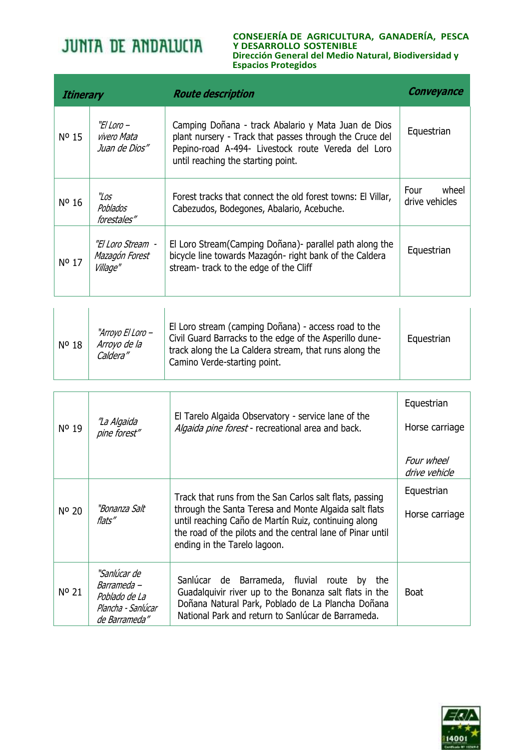#### **CONSEJERÍA DE AGRICULTURA, GANADERÍA, PESCA Y DESARROLLO SOSTENIBLE Dirección General del Medio Natural, Biodiversidad y Espacios Protegidos**

| <b>Itinerary</b> |                                                  | <b>Route description</b>                                                                                                                                                                                   | <b>Conveyance</b>               |
|------------------|--------------------------------------------------|------------------------------------------------------------------------------------------------------------------------------------------------------------------------------------------------------------|---------------------------------|
| $N^{\circ}$ 15   | "El Loro –<br>vivero Mata<br>Juan de Dios"       | Camping Doñana - track Abalario y Mata Juan de Dios<br>plant nursery - Track that passes through the Cruce del<br>Pepino-road A-494- Livestock route Vereda del Loro<br>until reaching the starting point. | Equestrian                      |
| Nº 16            | "Los<br>Poblados<br>forestales"                  | Forest tracks that connect the old forest towns: El Villar,<br>Cabezudos, Bodegones, Abalario, Acebuche.                                                                                                   | Four<br>wheel<br>drive vehicles |
| Nº 17            | "El Loro Stream  -<br>Mazagón Forest<br>Village" | El Loro Stream (Camping Doñana) - parallel path along the<br>bicycle line towards Mazagón- right bank of the Caldera<br>stream-track to the edge of the Cliff                                              | Equestrian                      |
|                  |                                                  |                                                                                                                                                                                                            |                                 |

| Nº 18 | "Arroyo El Loro –<br>Arroyo de la<br>Caldera" | El Loro stream (camping Doñana) - access road to the<br>Civil Guard Barracks to the edge of the Asperillo dune-<br>track along the La Caldera stream, that runs along the<br>Camino Verde-starting point. | Equestrian |
|-------|-----------------------------------------------|-----------------------------------------------------------------------------------------------------------------------------------------------------------------------------------------------------------|------------|
|-------|-----------------------------------------------|-----------------------------------------------------------------------------------------------------------------------------------------------------------------------------------------------------------|------------|

| Nº 19 | "La Algaida                                                                         | El Tarelo Algaida Observatory - service lane of the<br>Algaida pine forest - recreational area and back.                                                                                                                                                               | Equestrian<br>Horse carriage |
|-------|-------------------------------------------------------------------------------------|------------------------------------------------------------------------------------------------------------------------------------------------------------------------------------------------------------------------------------------------------------------------|------------------------------|
|       | pine forest"                                                                        |                                                                                                                                                                                                                                                                        | Four wheel<br>drive vehicle  |
| Nº 20 | "Bonanza Salt<br>flats"                                                             | Track that runs from the San Carlos salt flats, passing<br>through the Santa Teresa and Monte Algaida salt flats<br>until reaching Caño de Martín Ruiz, continuing along<br>the road of the pilots and the central lane of Pinar until<br>ending in the Tarelo lagoon. | Equestrian<br>Horse carriage |
| Nº 21 | "Sanlúcar de<br>Barrameda -<br>Poblado de La<br>Plancha - Sanlúcar<br>de Barrameda" | Sanlúcar de Barrameda, fluvial route by the<br>Guadalquivir river up to the Bonanza salt flats in the<br>Doñana Natural Park, Poblado de La Plancha Doñana<br>National Park and return to Sanlúcar de Barrameda.                                                       | <b>Boat</b>                  |

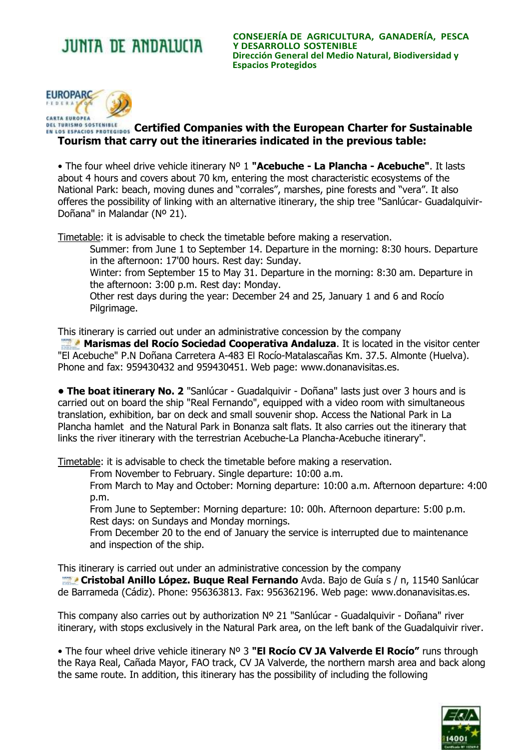**CONSEJERÍA DE AGRICULTURA, GANADERÍA, PESCA Y DESARROLLO SOSTENIBLE Dirección General del Medio Natural, Biodiversidad y Espacios Protegidos**



## **CEL TURISMO SOSTENIBLE**<br>EN LOS ESPACIOS PROTEGIDOS CErtified Companies with the European Charter for Sustainable **Tourism that carry out the itineraries indicated in the previous table:**

• The four wheel drive vehicle itinerary Nº 1 **"Acebuche - La Plancha - Acebuche"**. It lasts about 4 hours and covers about 70 km, entering the most characteristic ecosystems of the National Park: beach, moving dunes and "corrales", marshes, pine forests and "vera". It also offeres the possibility of linking with an alternative itinerary, the ship tree "Sanlúcar- Guadalquivir-Doñana" in Malandar (Nº 21).

Timetable: it is advisable to check the timetable before making a reservation.

Summer: from June 1 to September 14. Departure in the morning: 8:30 hours. Departure in the afternoon: 17'00 hours. Rest day: Sunday.

Winter: from September 15 to May 31. Departure in the morning: 8:30 am. Departure in the afternoon: 3:00 p.m. Rest day: Monday.

Other rest days during the year: December 24 and 25, January 1 and 6 and Rocío Pilgrimage.

This itinerary is carried out under an administrative concession by the company

**Marismas del Rocío Sociedad Cooperativa Andaluza**. It is located in the visitor center "El Acebuche" P.N Doñana Carretera A-483 El Rocío-Matalascañas Km. 37.5. Almonte (Huelva). Phone and fax: 959430432 and 959430451. Web page: www.donanavisitas.es.

**• The boat itinerary No. 2** "Sanlúcar - Guadalquivir - Doñana" lasts just over 3 hours and is carried out on board the ship "Real Fernando", equipped with a video room with simultaneous translation, exhibition, bar on deck and small souvenir shop. Access the National Park in La Plancha hamlet and the Natural Park in Bonanza salt flats. It also carries out the itinerary that links the river itinerary with the terrestrian Acebuche-La Plancha-Acebuche itinerary".

Timetable: it is advisable to check the timetable before making a reservation.

From November to February. Single departure: 10:00 a.m.

From March to May and October: Morning departure: 10:00 a.m. Afternoon departure: 4:00 p.m.

From June to September: Morning departure: 10: 00h. Afternoon departure: 5:00 p.m. Rest days: on Sundays and Monday mornings.

From December 20 to the end of January the service is interrupted due to maintenance and inspection of the ship.

This itinerary is carried out under an administrative concession by the company

 **Cristobal Anillo López. Buque Real Fernando** Avda. Bajo de Guía s / n, 11540 Sanlúcar de Barrameda (Cádiz). Phone: 956363813. Fax: 956362196. Web page: www.donanavisitas.es.

This company also carries out by authorization Nº 21 "Sanlúcar - Guadalquivir - Doñana" river itinerary, with stops exclusively in the Natural Park area, on the left bank of the Guadalquivir river.

• The four wheel drive vehicle itinerary Nº 3 **"El Rocío CV JA Valverde El Rocío"** runs through the Raya Real, Cañada Mayor, FAO track, CV JA Valverde, the northern marsh area and back along the same route. In addition, this itinerary has the possibility of including the following

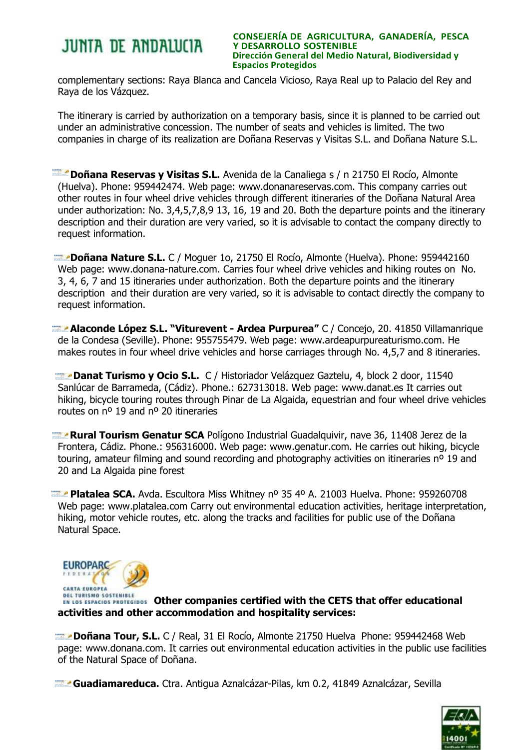#### **CONSEJERÍA DE AGRICULTURA, GANADERÍA, PESCA Y DESARROLLO SOSTENIBLE Dirección General del Medio Natural, Biodiversidad y Espacios Protegidos**

complementary sections: Raya Blanca and Cancela Vicioso, Raya Real up to Palacio del Rey and Raya de los Vázquez.

The itinerary is carried by authorization on a temporary basis, since it is planned to be carried out under an administrative concession. The number of seats and vehicles is limited. The two companies in charge of its realization are Doñana Reservas y Visitas S.L. and Doñana Nature S.L.

 **Doñana Reservas y Visitas S.L.** Avenida de la Canaliega s / n 21750 El Rocío, Almonte (Huelva). Phone: 959442474. Web page: www.donanareservas.com. This company carries out other routes in four wheel drive vehicles through different itineraries of the Doñana Natural Area under authorization: No. 3,4,5,7,8,9 13, 16, 19 and 20. Both the departure points and the itinerary description and their duration are very varied, so it is advisable to contact the company directly to request information.

 **Doñana Nature S.L.** C / Moguer 1o, 21750 El Rocío, Almonte (Huelva). Phone: 959442160 Web page: www.donana-nature.com. Carries four wheel drive vehicles and hiking routes on No. 3, 4, 6, 7 and 15 itineraries under authorization. Both the departure points and the itinerary description and their duration are very varied, so it is advisable to contact directly the company to request information.

 **Alaconde López S.L. "Viturevent - Ardea Purpurea"** C / Concejo, 20. 41850 Villamanrique de la Condesa (Seville). Phone: 955755479. Web page: www.ardeapurpureaturismo.com. He makes routes in four wheel drive vehicles and horse carriages through No. 4,5,7 and 8 itineraries.

 **Danat Turismo y Ocio S.L.** C / Historiador Velázquez Gaztelu, 4, block 2 door, 11540 Sanlúcar de Barrameda, (Cádiz). Phone.: 627313018. Web page: www.danat.es It carries out hiking, bicycle touring routes through Pinar de La Algaida, equestrian and four wheel drive vehicles routes on nº 19 and nº 20 itineraries

 **Rural Tourism Genatur SCA** Polígono Industrial Guadalquivir, nave 36, 11408 Jerez de la Frontera, Cádiz. Phone.: 956316000. Web page: www.genatur.com. He carries out hiking, bicycle touring, amateur filming and sound recording and photography activities on itineraries nº 19 and 20 and La Algaida pine forest

**Platalea SCA.** Avda. Escultora Miss Whitney nº 35 4º A. 21003 Huelva. Phone: 959260708 Web page: www.platalea.com Carry out environmental education activities, heritage interpretation, hiking, motor vehicle routes, etc. along the tracks and facilities for public use of the Doñana Natural Space.



**ERL FURISMO SUSTEMIRLE**<br>EN LOS ESPACIOS PROTEGIDOS **Other companies certified with the CETS that offer educational activities and other accommodation and hospitality services:**

 **Doñana Tour, S.L.** C / Real, 31 El Rocío, Almonte 21750 Huelva Phone: 959442468 Web page: [www.donana.com.](http://www.donana.com/) It carries out environmental education activities in the public use facilities of the Natural Space of Doñana.

**Guadiamareduca.** Ctra. Antigua Aznalcázar-Pilas, km 0.2, 41849 Aznalcázar, Sevilla

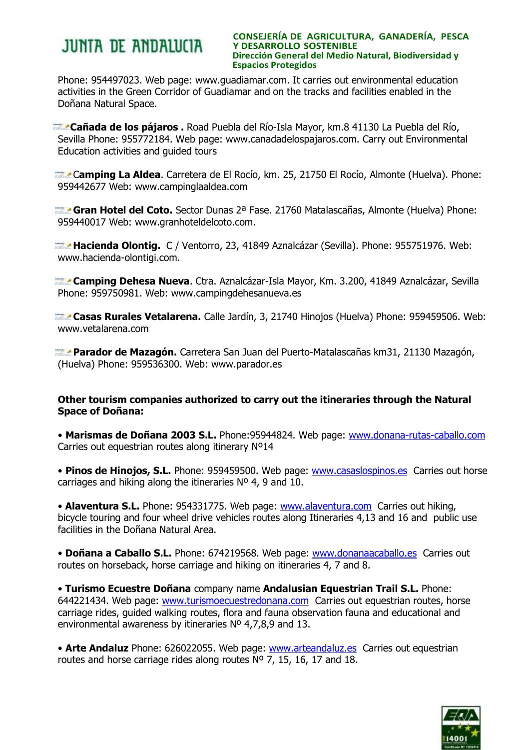#### **CONSEJERÍA DE AGRICULTURA, GANADERÍA, PESCA Y DESARROLLO SOSTENIBLE Dirección General del Medio Natural, Biodiversidad y Espacios Protegidos**

Phone: 954497023. Web page: www.guadiamar.com. It carries out environmental education activities in the Green Corridor of Guadiamar and on the tracks and facilities enabled in the Doñana Natural Space.

 **Cañada de los pájaros .** Road Puebla del Río-Isla Mayor, km.8 41130 La Puebla del Río, Sevilla Phone: 955772184. Web page: www.canadadelospajaros.com. Carry out Environmental Education activities and guided tours

 C**amping La Aldea**. Carretera de El Rocío, km. 25, 21750 El Rocío, Almonte (Huelva). Phone: 959442677 Web: www.campinglaaldea.com

 **Gran Hotel del Coto.** Sector Dunas 2ª Fase. 21760 Matalascañas, Almonte (Huelva) Phone: 959440017 Web: www.granhoteldelcoto.com.

 **Hacienda Olontig.** C / Ventorro, 23, 41849 Aznalcázar (Sevilla). Phone: 955751976. Web: www.hacienda-olontigi.com.

 **Camping Dehesa Nueva**. Ctra. Aznalcázar-Isla Mayor, Km. 3.200, 41849 Aznalcázar, Sevilla Phone: 959750981. Web: www.campingdehesanueva.es

 **Casas Rurales Vetalarena.** Calle Jardín, 3, 21740 Hinojos (Huelva) Phone: 959459506. Web: www.vetalarena.com

 **Parador de Mazagón.** Carretera San Juan del Puerto-Matalascañas km31, 21130 Mazagón, (Huelva) Phone: 959536300. Web: www.parador.es

### **Other tourism companies authorized to carry out the itineraries through the Natural Space of Doñana:**

• **Marismas de Doñana 2003 S.L.** Phone:95944824. Web page: [www.donana-rutas-caballo.com](http://www.donana-rutas-caballo.com/) Carries out equestrian routes along itinerary Nº14

• Pinos de Hinojos, S.L. Phone: 959459500. Web page: [www.casaslospinos.es](http://www.casaslospinos.es/) Carries out horse carriages and hiking along the itineraries Nº 4, 9 and 10.

• **Alaventura S.L.** Phone: 954331775. Web page: [www.alaventura.com](http://www.alaventura.com/) Carries out hiking, bicycle touring and four wheel drive vehicles routes along Itineraries 4,13 and 16 and public use facilities in the Doñana Natural Area.

• Doñana a Caballo S.L. Phone: 674219568. Web page: [www.donanaacaballo.es](http://www.donanaacaballo.es/) Carries out routes on horseback, horse carriage and hiking on itineraries 4, 7 and 8.

• **Turismo Ecuestre Doñana** company name **Andalusian Equestrian Trail S.L.** Phone: 644221434. Web page: [www.turismoecuestredonana.com](http://www.turismoecuestredonana.com/) Carries out equestrian routes, horse carriage rides, guided walking routes, flora and fauna observation fauna and educational and environmental awareness by itineraries Nº 4,7,8,9 and 13.

• **Arte Andaluz** Phone: 626022055. Web page: [www.arteandaluz.es](http://www.arteandaluz.es/) Carries out equestrian routes and horse carriage rides along routes  $N^{\circ}$  7, 15, 16, 17 and 18.

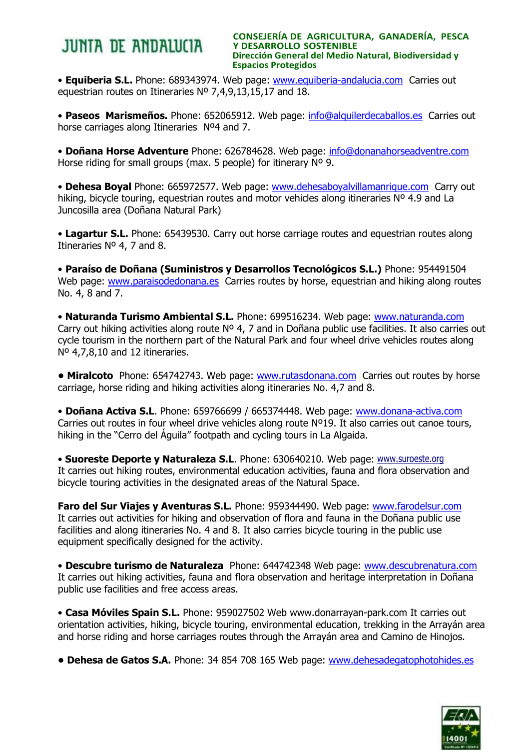**CONSEJERÍA DE AGRICULTURA, GANADERÍA, PESCA Y DESARROLLO SOSTENIBLE Dirección General del Medio Natural, Biodiversidad y Espacios Protegidos**

• **Equiberia S.L.** Phone: 689343974. Web page: [www.equiberia-andalucia.com](http://www.equiberia-andalucia.com/) Carries out equestrian routes on Itineraries Nº 7,4,9,13,15,17 and 18.

• **Paseos Marismeños.** Phone: 652065912. Web page: [info@alquilerdecaballos.es](mailto:info@alquilerdecaballos.es) Carries out horse carriages along Itineraries Nº4 and 7.

• **Doñana Horse Adventure** Phone: 626784628. Web page: [info@donanahorseadventre.com](mailto:info@donanahorseadventre.com) Horse riding for small groups (max. 5 people) for itinerary Nº 9.

• **Dehesa Boyal** Phone: 665972577. Web page: [www.dehesaboyalvillamanrique.com](http://www.dehesaboyalvillamanrique.com/) Carry out hiking, bicycle touring, equestrian routes and motor vehicles along itineraries Nº 4.9 and La Juncosilla area (Doñana Natural Park)

• **Lagartur S.L.** Phone: 65439530. Carry out horse carriage routes and equestrian routes along Itineraries Nº 4, 7 and 8.

• **Paraíso de Doñana (Suministros y Desarrollos Tecnológicos S.L.)** Phone: 954491504 Web page: [www.paraisodedonana.es](http://www.paraisodedonana.es/) Carries routes by horse, equestrian and hiking along routes No. 4, 8 and 7.

• **Naturanda Turismo Ambiental S.L.** Phone: 699516234. Web page: [www.naturanda.com](http://www.naturanda.com/) Carry out hiking activities along route Nº 4, 7 and in Doñana public use facilities. It also carries out cycle tourism in the northern part of the Natural Park and four wheel drive vehicles routes along Nº 4,7,8,10 and 12 itineraries.

**• Miralcoto** Phone: 654742743. Web page: [www.rutasdonana.com](http://www.rutasdonana.com/) Carries out routes by horse carriage, horse riding and hiking activities along itineraries No. 4,7 and 8.

• **Doñana Activa S.L**. Phone: 659766699 / 665374448. Web page: [www.donana-activa.com](http://www.donana-activa.com/) Carries out routes in four wheel drive vehicles along route Nº19. It also carries out canoe tours, hiking in the "Cerro del Águila" footpath and cycling tours in La Algaida.

• **Suoreste Deporte y Naturaleza S.L**. Phone: 630640210. Web page: [www.suroeste.org](http://www.suroeste.org/index.html) It carries out hiking routes, environmental education activities, fauna and flora observation and bicycle touring activities in the designated areas of the Natural Space.

**Faro del Sur Viajes y Aventuras S.L.** Phone: 959344490. Web page: [www.farodelsur.com](http://www.farodelsur.com/) It carries out activities for hiking and observation of flora and fauna in the Doñana public use facilities and along itineraries No. 4 and 8. It also carries bicycle touring in the public use equipment specifically designed for the activity.

• **Descubre turismo de Naturaleza** Phone: 644742348 Web page: [www.descubrenatura.com](http://www.descubrenatura.com/) It carries out hiking activities, fauna and flora observation and heritage interpretation in Doñana public use facilities and free access areas.

• **Casa Móviles Spain S.L.** Phone: 959027502 Web www.donarrayan-park.com It carries out orientation activities, hiking, bicycle touring, environmental education, trekking in the Arrayán area and horse riding and horse carriages routes through the Arrayán area and Camino de Hinojos.

**• Dehesa de Gatos S.A.** Phone: 34 854 708 165 Web page: [www.dehesadegatophotohides.es](http://www.dehesadegatophotohides.es/)

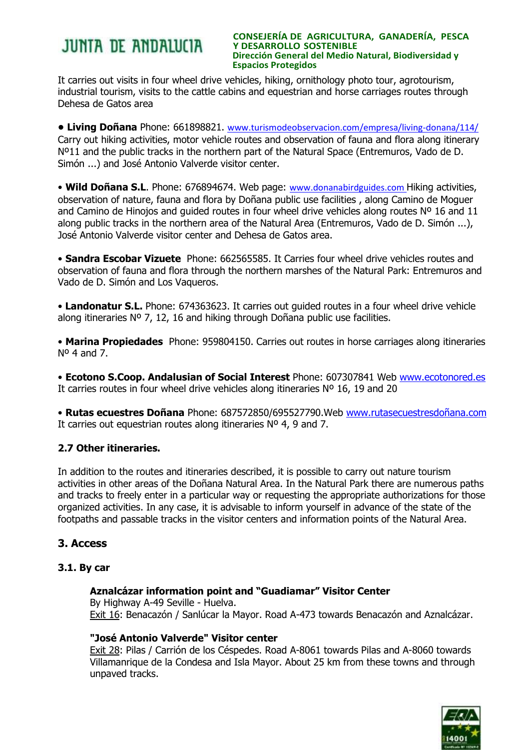#### **CONSEJERÍA DE AGRICULTURA, GANADERÍA, PESCA Y DESARROLLO SOSTENIBLE Dirección General del Medio Natural, Biodiversidad y Espacios Protegidos**

It carries out visits in four wheel drive vehicles, hiking, ornithology photo tour, agrotourism, industrial tourism, visits to the cattle cabins and equestrian and horse carriages routes through Dehesa de Gatos area

**• Living Doñana** Phone: 661898821. [www.turismodeobservacion.com/empresa/living-donana/114/](http://www.turismodeobservacion.com/empresa/living-donana/114/) Carry out hiking activities, motor vehicle routes and observation of fauna and flora along itinerary Nº11 and the public tracks in the northern part of the Natural Space (Entremuros, Vado de D. Simón ...) and José Antonio Valverde visitor center.

• Wild Doñana S.L. Phone: 676894674. Web page: [www.donanabirdguides.com](http://www.donanabirdguides.com/) Hiking activities, observation of nature, fauna and flora by Doñana public use facilities , along Camino de Moguer and Camino de Hinojos and quided routes in four wheel drive vehicles along routes  $N^{\circ}$  16 and 11 along public tracks in the northern area of the Natural Area (Entremuros, Vado de D. Simón ...), José Antonio Valverde visitor center and Dehesa de Gatos area.

• **Sandra Escobar Vizuete** Phone: 662565585. It Carries four wheel drive vehicles routes and observation of fauna and flora through the northern marshes of the Natural Park: Entremuros and Vado de D. Simón and Los Vaqueros.

• **Landonatur S.L.** Phone: 674363623. It carries out guided routes in a four wheel drive vehicle along itineraries  $N^{\circ}$  7, 12, 16 and hiking through Doñana public use facilities.

• **Marina Propiedades** Phone: 959804150. Carries out routes in horse carriages along itineraries  $N^{\circ}$  4 and 7.

• **Ecotono S.Coop. Andalusian of Social Interest** Phone: 607307841 Web [www.ecotonored.es](http://www.ecotonored.es/) It carries routes in four wheel drive vehicles along itineraries Nº 16, 19 and 20

• **Rutas ecuestres Doñana** Phone: 687572850/695527790.Web [www.rutasecuestresdoñana.com](http://www.rutasecuestresdoñana.com/) It carries out equestrian routes along itineraries Nº 4, 9 and 7.

## **2.7 Other itineraries.**

In addition to the routes and itineraries described, it is possible to carry out nature tourism activities in other areas of the Doñana Natural Area. In the Natural Park there are numerous paths and tracks to freely enter in a particular way or requesting the appropriate authorizations for those organized activities. In any case, it is advisable to inform yourself in advance of the state of the footpaths and passable tracks in the visitor centers and information points of the Natural Area.

## **3. Access**

### **3.1. By car**

### **Aznalcázar information point and "Guadiamar" Visitor Center**

By Highway A-49 Seville - Huelva. Exit 16: Benacazón / Sanlúcar la Mayor. Road A-473 towards Benacazón and Aznalcázar.

## **"José Antonio Valverde" Visitor center**

Exit 28: Pilas / Carrión de los Céspedes. Road A-8061 towards Pilas and A-8060 towards Villamanrique de la Condesa and Isla Mayor. About 25 km from these towns and through unpaved tracks.

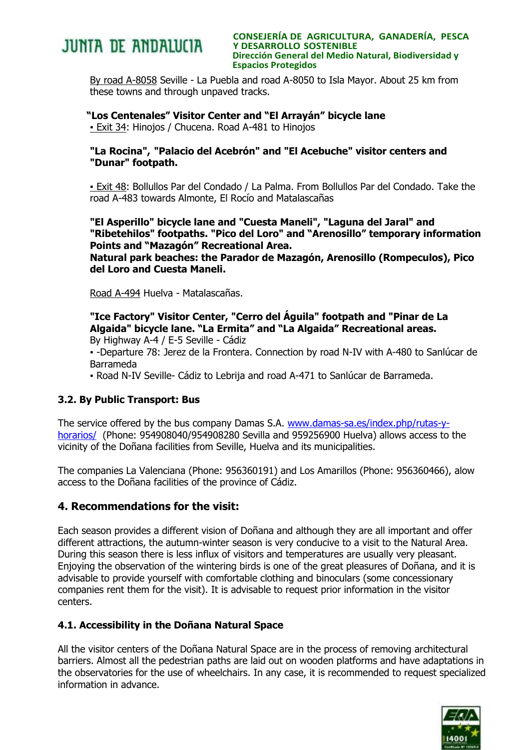

**CONSEJERÍA DE AGRICULTURA, GANADERÍA, PESCA Y DESARROLLO SOSTENIBLE Dirección General del Medio Natural, Biodiversidad y Espacios Protegidos**

By road A-8058 Seville - La Puebla and road A-8050 to Isla Mayor. About 25 km from these towns and through unpaved tracks.

### **"Los Centenales" Visitor Center and "El Arrayán" bicycle lane**

**- Exit 34: Hinojos / Chucena. Road A-481 to Hinojos** 

### **"La Rocina", "Palacio del Acebrón" and "El Acebuche" visitor centers and "Dunar" footpath.**

▪ Exit 48: Bollullos Par del Condado / La Palma. From Bollullos Par del Condado. Take the road A-483 towards Almonte, El Rocío and Matalascañas

**"El Asperillo" bicycle lane and "Cuesta Maneli", "Laguna del Jaral" and "Ribetehilos" footpaths. "Pico del Loro" and "Arenosillo" temporary information Points and "Mazagón" Recreational Area.**

**Natural park beaches: the Parador de Mazagón, Arenosillo (Rompeculos), Pico del Loro and Cuesta Maneli.** 

Road A-494 Huelva - Matalascañas.

**"Ice Factory" Visitor Center, "Cerro del Águila" footpath and "Pinar de La Algaida" bicycle lane. "La Ermita" and "La Algaida" Recreational areas.** By Highway A-4 / E-5 Seville - Cádiz

▪ -Departure 78: Jerez de la Frontera. Connection by road N-IV with A-480 to Sanlúcar de Barrameda

▪ Road N-IV Seville- Cádiz to Lebrija and road A-471 to Sanlúcar de Barrameda.

### **3.2. By Public Transport: Bus**

The service offered by the bus company Damas S.A. [www.damas-sa.es/index.php/rutas-y](http://www.damas-sa.es/index.php/rutas-y-horarios/)[horarios/](http://www.damas-sa.es/index.php/rutas-y-horarios/) (Phone: 954908040/954908280 Sevilla and 959256900 Huelva) allows access to the vicinity of the Doñana facilities from Seville, Huelva and its municipalities.

The companies La Valenciana (Phone: 956360191) and Los Amarillos (Phone: 956360466), alow access to the Doñana facilities of the province of Cádiz.

## **4. Recommendations for the visit:**

Each season provides a different vision of Doñana and although they are all important and offer different attractions, the autumn-winter season is very conducive to a visit to the Natural Area. During this season there is less influx of visitors and temperatures are usually very pleasant. Enjoying the observation of the wintering birds is one of the great pleasures of Doñana, and it is advisable to provide yourself with comfortable clothing and binoculars (some concessionary companies rent them for the visit). It is advisable to request prior information in the visitor centers.

### **4.1. Accessibility in the Doñana Natural Space**

All the visitor centers of the Doñana Natural Space are in the process of removing architectural barriers. Almost all the pedestrian paths are laid out on wooden platforms and have adaptations in the observatories for the use of wheelchairs. In any case, it is recommended to request specialized information in advance.